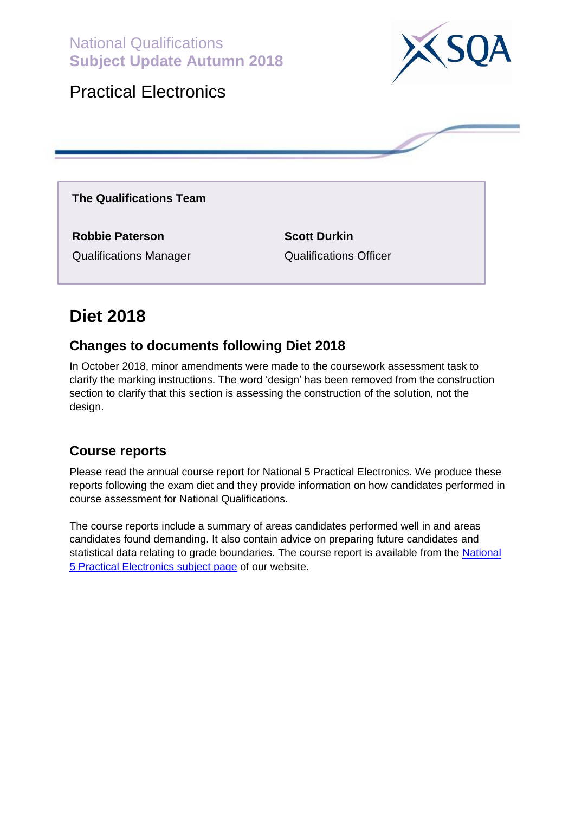National Qualifications **Subject Update Autumn 2018**



### Practical Electronics

**The Qualifications Team**

**Robbie Paterson Scott Durkin** Qualifications Manager Qualifications Officer

# **Diet 2018**

### **Changes to documents following Diet 2018**

In October 2018, minor amendments were made to the coursework assessment task to clarify the marking instructions. The word 'design' has been removed from the construction section to clarify that this section is assessing the construction of the solution, not the design.

### **Course reports**

Please read the annual course report for National 5 Practical Electronics. We produce these reports following the exam diet and they provide information on how candidates performed in course assessment for National Qualifications.

The course reports include a summary of areas candidates performed well in and areas candidates found demanding. It also contain advice on preparing future candidates and statistical data relating to grade boundaries. The course report is available from the [National](https://www.sqa.org.uk/sqa/47460.html)  [5 Practical Electronics subject page](https://www.sqa.org.uk/sqa/47460.html) of our website.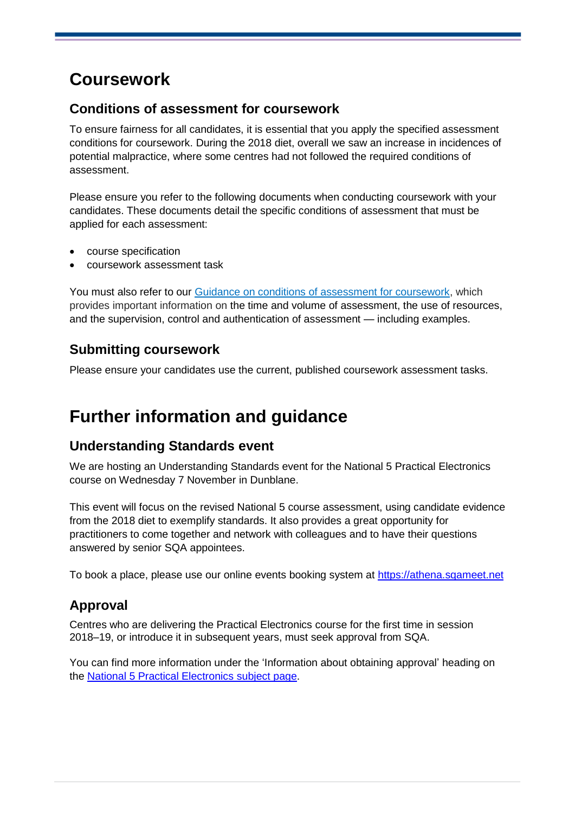# **Coursework**

#### **Conditions of assessment for coursework**

To ensure fairness for all candidates, it is essential that you apply the specified assessment conditions for coursework. During the 2018 diet, overall we saw an increase in incidences of potential malpractice, where some centres had not followed the required conditions of assessment.

Please ensure you refer to the following documents when conducting coursework with your candidates. These documents detail the specific conditions of assessment that must be applied for each assessment:

- course specification
- coursework assessment task

You must also refer to our [Guidance on conditions of assessment for coursework,](http://www.sqa.org.uk/sqa/files_ccc/Guidance_on_conditions_of_assessment_for_coursework.pdf) which provides important information on the time and volume of assessment, the use of resources, and the supervision, control and authentication of assessment — including examples.

### **Submitting coursework**

Please ensure your candidates use the current, published coursework assessment tasks.

## **Further information and guidance**

### **Understanding Standards event**

We are hosting an Understanding Standards event for the National 5 Practical Electronics course on Wednesday 7 November in Dunblane.

This event will focus on the revised National 5 course assessment, using candidate evidence from the 2018 diet to exemplify standards. It also provides a great opportunity for practitioners to come together and network with colleagues and to have their questions answered by senior SQA appointees.

To book a place, please use our online events booking system at [https://athena.sqameet.net](https://athena.sqameet.net/)

### **Approval**

Centres who are delivering the Practical Electronics course for the first time in session 2018–19, or introduce it in subsequent years, must seek approval from SQA.

You can find more information under the 'Information about obtaining approval' heading on the [National 5 Practical Electronics subject page.](https://www.sqa.org.uk/sqa/47460.html)